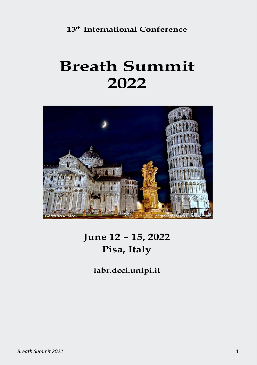**13 th International Conference**

# **Breath Summit 2022**



## **June 12 – 15, 2022 Pisa, Italy**

**iabr.dcci.unipi.it**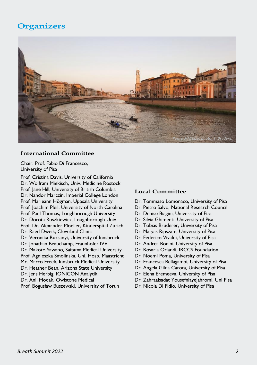### **Organizers**



#### **International Committee**

Chair: Prof. Fabio Di Francesco, University of Pisa

Prof. Cristina Davis, University of California Dr. Wolfram Miekisch, Univ. Medicine Rostock Prof. Jane Hill, University of British Columbia Dr. Nandor Marczin, Imperial College London Prof. Marieann Högman, Uppsala University Prof. Joachim Pleil, University of North Carolina Prof. Paul Thomas, Loughborough University Dr. Dorota Ruszkiewicz, Loughborough Univ Prof. Dr. Alexander Moeller, Kinderspital Zürich Dr. Raed Dweik, Cleveland Clinic Dr. Veronika Ruzsanyi, University of Innsbruck Dr. Jonathan Beauchamp, Fraunhofer IVV Dr. Makoto Sawano, Saitama Medical University Prof. Agnieszka Smolinska, Uni. Hosp. Maastricht Mr. Marco Freek, Innsbruck Medical University Dr. Heather Bean, Arizona State University Dr. Jens Herbig, IONICON Analytik Dr. Anil Modak, Owlstone Medical Prof. Bogusław Buszewski, University of Torun

#### **Local Committee**

- Dr. Tommaso Lomonaco, University of Pisa
- Dr. Pietro Salvo, National Research Council
- Dr. Denise Biagini, University of Pisa
- Dr. Silvia Ghimenti, University of Pisa
- Dr. Tobias Bruderer, University of Pisa
- Dr. Matyas Ripszam, University of Pisa
- Dr. Federico Vivaldi, University of Pisa
- Dr. Andrea Bonini, University of Pisa
- Dr. Rosaria Orlandi, IRCCS Foundation
- Dr. Noemi Poma, University of Pisa
- Dr. Francesca Bellagambi, University of Pisa
- Dr. Angela Gilda Carota, University of Pisa
- Dr. Elena Eremeeva, University of Pisa
- Dr. Zahraalsadat Yousefniayejahromi, Uni Pisa
- Dr. Nicola Di Fidio, University of Pisa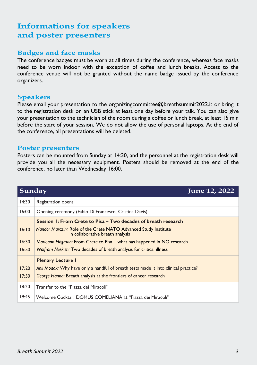### **Informations for speakers and poster presenters**

#### **Badges and face masks**

The conference badges must be worn at all times during the conference, whereas face masks need to be worn indoor with the exception of coffee and lunch breaks. Access to the conference venue will not be granted without the name badge issued by the conference organizers.

#### **Speakers**

Please email your presentation to the organizingcommittee@breathsummit2022.it or bring it to the registration desk on an USB stick at least one day before your talk. You can also give your presentation to the technician of the room during a coffee or lunch break, at least 15 min before the start of your session. We do not allow the use of personal laptops. At the end of the conference, all presentations will be deleted.

#### **Poster presenters**

Posters can be mounted from Sunday at 14:30, and the personnel at the registration desk will provide you all the necessary equipment. Posters should be removed at the end of the conference, no later than Wednesday 16:00.

| Sunday | June 12, 2022                                                                                       |
|--------|-----------------------------------------------------------------------------------------------------|
| 14:30  | Registration opens                                                                                  |
| 16:00  | Opening ceremony (Fabio Di Francesco, Cristina Davis)                                               |
|        | Session 1: From Crete to Pisa – Two decades of breath research                                      |
| 16:10  | Nandor Marczin: Role of the Crete NATO Advanced Study Institute<br>in collaborative breath analysis |
| 16:30  | Marieann Högman: From Crete to Pisa – what has happened in NO research                              |
| 16:50  | Wolfram Miekish: Two decades of breath analysis for critical illness                                |
|        | <b>Plenary Lecture I</b>                                                                            |
| 17:20  | Anil Modak: Why have only a handful of breath tests made it into clinical practice?                 |
| 17:50  | George Hanna: Breath analysis at the frontiers of cancer research                                   |
| 18:20  | Transfer to the "Piazza dei Miracoli"                                                               |
| 19:45  | Welcome Cocktail: DOMUS COMELIANA at "Piazza dei Miracoli"                                          |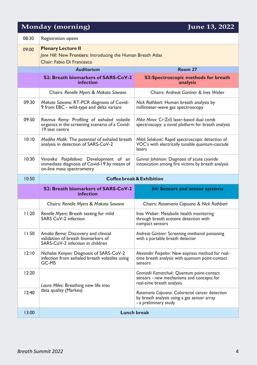### **Monday (morning) June 13, 2022**

| 08:30 | Registration opens                                                                                                                                                                                     |                                                                                                                        |  |
|-------|--------------------------------------------------------------------------------------------------------------------------------------------------------------------------------------------------------|------------------------------------------------------------------------------------------------------------------------|--|
| 09:00 | <b>Plenary Lecture II</b><br>Jane Hill: New Frontiers: Introducing the Human Breath Atlas<br>Chair: Fabio Di Francesco                                                                                 |                                                                                                                        |  |
|       | Room 27<br><b>Auditorium</b>                                                                                                                                                                           |                                                                                                                        |  |
|       | S2: Breath biomarkers of SARS-CoV-2<br><b>infection</b>                                                                                                                                                | <b>S3: Spectroscopic methods for breath</b><br>analysis                                                                |  |
|       | Chairs: Renelle Myers & Makoto Sawano                                                                                                                                                                  | Chairs: Andreas Güntner & Ines Weber                                                                                   |  |
| 09:30 | Makoto Sawano: RT-PCR diagnosis of Covid-<br>9 from EBC - wild-type and delta variant                                                                                                                  | Nick Rothbart: Human breath analysis by<br>millimeter-wave gas spectroscopy                                            |  |
| 09:50 | Rasmus Remy: Profiling of exhaled volatile<br>organics in the screening scenario of a Covid-<br>19 test centre                                                                                         | Mike Mirov: Cr:ZnS laser-based dual comb<br>spectroscopy: a novel platform for breath analysis                         |  |
| 10:10 | Madiha Malik: The potential of exhaled breath<br>Miloš Selaković: Rapid spectroscopic detection of<br>VOC's with electrically tunable quantum-cascade<br>analysis in detection of SARS-CoV-2<br>lasers |                                                                                                                        |  |
| 10:30 | Veronika Pospilsilova: Development of an<br>immediate diagnosis of Covid-19 by means of<br>on-line mass spectrometry                                                                                   | Gunnar Johanson: Diagnosis of acute cyanide<br>intoxication among fire victims by breath analysis                      |  |
|       | Coffee break & Exhibition                                                                                                                                                                              |                                                                                                                        |  |
| 10:50 |                                                                                                                                                                                                        |                                                                                                                        |  |
|       | S2: Breath biomarkers of SARS-CoV-2<br><b>infection</b>                                                                                                                                                | <b>S4: Sensors and sensor systems</b>                                                                                  |  |
|       | Chairs: Renelle Myers & Makoto Sawano                                                                                                                                                                  | Chairs: Rosamaria Capuano & Nick Rothbart                                                                              |  |
| 11:20 | Renelle Myers: Breath testing for mild<br><b>SARS CoV-2 infection</b>                                                                                                                                  | Ines Weber: Metabolic health monitoring<br>through breath acetone detection with<br>compact sensors                    |  |
| 11:50 | Amalia Berna: Discovery and clinical<br>validation of breath biomarkers of<br>SARS-CoV-2 infection in children                                                                                         | Andreas Güntner: Screening methanol poisoning<br>with a portable breath detector                                       |  |
| 12:10 | Nicholas Kenyon: Diagnosis of SARS-CoV-2<br>infection from exhaled breath volatiles using<br>GC-MS                                                                                                     | Alexander Pospelov: New express method for real-<br>time breath analysis with quantum point-contact<br>sensors         |  |
| 12:20 | Laura Miles: Breathing new life into                                                                                                                                                                   | Gennadii Kamarchuk: Quantum point-contact<br>sensors - new mechanisms and concepts for<br>real-time breath analysis    |  |
| 12:40 | data quality (Markes)                                                                                                                                                                                  | Rosamaria Capuano: Colorectal cancer detection<br>by breath analysis using a gas sensor array<br>- a preliminary study |  |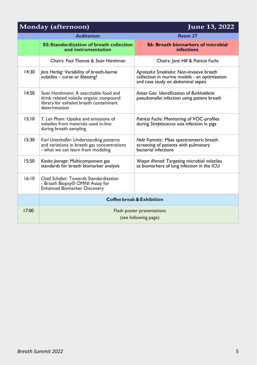| Monday (afternoon) |                                                                                                                                             | June 13, 2022                                                                                                                   |  |
|--------------------|---------------------------------------------------------------------------------------------------------------------------------------------|---------------------------------------------------------------------------------------------------------------------------------|--|
|                    | <b>Auditorium</b>                                                                                                                           | Room 27                                                                                                                         |  |
|                    | <b>S5: Standardization of breath collection</b><br>and instrumentation                                                                      | <b>S6: Breath biomarkers of microbial</b><br><b>infections</b>                                                                  |  |
|                    | Chairs: Paul Thomas & Sean Harshman                                                                                                         | Chairs: Jane Hill & Patricia Fuchs                                                                                              |  |
| 14:30              | Jens Herbig: Variability of breath-borne<br>volatiles - curse or blessing?                                                                  | Agnieszka Smolinska: Non-invasive breath<br>collection in murine models - an optimization<br>and case study on abdominal sepsis |  |
| 14:50              | Sean Harshmann: A searchable food and<br>drink related volatile organic compound<br>library for exhaled breath contaminant<br>determination | Antgo Gao: Identification of Burkholderia<br>pseudomallei infection using patient breath                                        |  |
| 15:10              | Y. Lan Pham: Uptake and emissions of<br>volatiles from materials used in-line<br>during breath sampling                                     | Patricia Fuchs: Monitoring of VOC-profiles<br>during Streptococcus suis infection in pigs                                       |  |
| 15:30              | Karl Unterkofler: Understanding patterns<br>and variations in breath gas concentrations<br>- what we can learn from modeling                | Nele Kemnitz: Mass spectrometric breath<br>screening of patients with pulmonary<br>bacterial infections                         |  |
| 15:50              | Kavita Jeerage: Multicomponent gas<br>standards for breath biomarker analysis                                                               | Wagar Ahmed: Targeting microbial volatiles<br>as biomarkers of lung infection in the ICU                                        |  |
| 16:10              | Chad Schaber: Towards Standardization<br>- Breath Biopsy® OMNI Assay for<br><b>Enhanced Biomarker Discovery</b>                             |                                                                                                                                 |  |
|                    |                                                                                                                                             | Coffee break & Exhibition                                                                                                       |  |
| 17:00              | Flash poster presentations<br>(see following page)                                                                                          |                                                                                                                                 |  |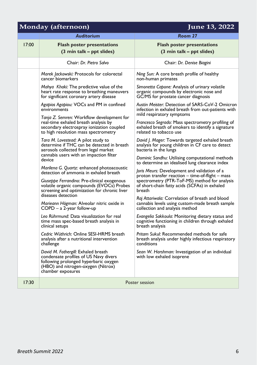### **Monday (afternoon) June 13, 2022**

|       | <b>Auditorium</b>                                                                                                                                                                | Room 27                                                                                                                              |
|-------|----------------------------------------------------------------------------------------------------------------------------------------------------------------------------------|--------------------------------------------------------------------------------------------------------------------------------------|
| 17:00 | <b>Flash poster presentations</b><br>(3 min talk – ppt slides)                                                                                                                   | <b>Flash poster presentations</b><br>(3 min talk – ppt slides)                                                                       |
|       | Chair: Dr. Pietro Salvo                                                                                                                                                          | Chair: Dr. Denise Biagini                                                                                                            |
|       | Marek Jackowski: Protocols for colorectal<br>cancer biomarkers                                                                                                                   | Ning Sun: A core breath profile of healthy<br>non-human primates                                                                     |
|       | Mahya Khaki: The predictive value of the<br>heart rate response to breathing maneuvers<br>for significant coronary artery disease                                                | Simonetta Capone: Analysis of urinary volatile<br>organic compounds by electronic nose and<br>GC/MS for prostate cancer diagnosis    |
|       | Agapios Agapiou: VOCs and PM in confined<br>environments                                                                                                                         | Austin Meister: Detection of SARS-CoV-2 Omicron<br>infection in exhaled breath from out-patients with<br>mild respiratory symptoms   |
|       | Tanja Z. Semren: Workflow development for<br>real-time exhaled breath analysis by<br>secondary electrospray ionization coupled<br>to high resolution mass spectrometry           | Francesco Segrado: Mass spectrometry profiling of<br>exhaled breath of smokers to identify a signature<br>related to tobacco use     |
|       | Tara M. Lovestead: A pilot study to<br>determine if THC can be detected in breath<br>aerosols collected from legal market                                                        | David J. Mager: Towards targeted exhaled breath<br>analysis for young children in CF care to detect<br>bacteria in the lungs         |
|       | cannabis users with an impaction filter<br>device                                                                                                                                | Dominic Sandhu: Utilising computational methods<br>to determine an idealised lung clearance index                                    |
|       | Marilena G. Quartz: enhanced photoacoustic<br>detection of ammonia in exhaled breath                                                                                             | Joris Meurs: Development and validation of a<br>proton transfer reaction – time-of-flight – mass                                     |
|       | Giuseppe Ferrandino: Pre-clinical exogenous<br>volatile organic compounds (EVOCs) Probes<br>screening and optimization for chronic liver                                         | spectrometry (PTR-ToF-MS) method for analysis<br>of short-chain fatty acids (SCFAs) in exhaled<br>breath                             |
|       | diseases detection<br>Marieann Högman: Alveolar nitric oxide in<br>$COPD - a 2$ -year follow-up                                                                                  | Raj Attariwala: Correlation of breath and blood<br>cannabis levels using custom-made breath sample<br>collection and analysis method |
|       | Leo Rührmund: Data visualization for real<br>time mass spec-based breath analysis in<br>clinical setups                                                                          | Evangelia Sakkoula: Monitoring dietary status and<br>cognitive functioning in children through exhaled<br>breath analysis            |
|       | Cedric Wüthrich: Online SESI-HRMS breath<br>analysis after a nutritional intervention<br>challenge                                                                               | Pritam Sukul: Recommended methods for safe<br>breath analysis under highly infectious respiratory<br>conditions                      |
|       | David M. Fothergill: Exhaled breath<br>condensate profiles of US Navy divers<br>following prolonged hyperbaric oxygen<br>(HBO) and nitrogen-oxygen (Nitrox)<br>chamber exposures | Sean W. Harshman: Investigation of an individual<br>with low exhaled isoprene                                                        |
| 17:30 | Poster session                                                                                                                                                                   |                                                                                                                                      |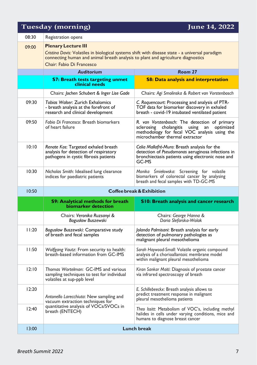### **Tuesday (morning) June 14, 2022**

| 08:30 | Registration opens                                                                                                                                                                  |                                                                                                                                                                              |  |
|-------|-------------------------------------------------------------------------------------------------------------------------------------------------------------------------------------|------------------------------------------------------------------------------------------------------------------------------------------------------------------------------|--|
| 09:00 | <b>Plenary Lecture III</b>                                                                                                                                                          |                                                                                                                                                                              |  |
|       | Cristing Davis: Volatiles in biological systems shift with disease state - a universal paradigm<br>connecting human and animal breath analysis to plant and agriculture diagnostics |                                                                                                                                                                              |  |
|       | Chair: Fabio Di Francesco                                                                                                                                                           |                                                                                                                                                                              |  |
|       | <b>Auditorium</b>                                                                                                                                                                   | Room 27                                                                                                                                                                      |  |
|       | <b>S7: Breath tests targeting unmet</b><br>clinical needs                                                                                                                           | <b>S8: Data analysis and interpretation</b>                                                                                                                                  |  |
|       | Chairs: Jochen Schubert & Inger Lise Gade                                                                                                                                           | Chairs: Agi Smolinska & Robert van Vorstenbosch                                                                                                                              |  |
| 09:30 | Tobias Walser: Zurich Exhalomics<br>- breath analysis at the forefront of<br>research and clinical development                                                                      | C. Roquencourt: Processing and analysis of PTR-<br>TOF data for biomarker discovery in exhaled<br>breath - covid-19 intubated ventilated patient                             |  |
| 09:50 | Fabio Di Francesco: Breath biomarkers<br>of heart failure                                                                                                                           | R. van Vorstenbosch: The detection of primary<br>sclerosing cholangitis using an optimized<br>methodology for fecal VOC analysis using the<br>microchamber thermal extractor |  |
| 10:10 | Renate Kos: Targeted exhaled breath<br>analysis for detection of respiratory<br>pathogens in cystic fibrosis patients                                                               | Celia Mallafré-Muro: Breath analysis for the<br>detection of Pseudomonas aeruginosa infections in<br>bronchiectasis patients using electronic nose and<br>GC-MS              |  |
| 10:30 | Nicholas Smith: Idealised lung clearance<br>indices for paediatric patients                                                                                                         | Monika Śmiełowska: Screening for volatile<br>biomarkers of colorectal cancer by analysing<br>breath and fecal samples with TD-GC-MS                                          |  |
|       | <b>Coffee break &amp; Exhibition</b>                                                                                                                                                |                                                                                                                                                                              |  |
| 10:50 |                                                                                                                                                                                     |                                                                                                                                                                              |  |
|       | <b>S9: Analytical methods for breath</b><br>biomarker detection                                                                                                                     | <b>S10: Breath analysis and cancer research</b>                                                                                                                              |  |
|       | Chairs: Veronika Ruzsanyi &<br>Bogusław Buszewski                                                                                                                                   | Chairs: George Hanna &<br>Daria Slefarska-Wolak                                                                                                                              |  |
| 11:20 | Bogusław Buszewski: Comparative study<br>of breath and fecal samples                                                                                                                | Jolanda Palmisani: Breath analysis for early<br>detection of pulmonary pathologies as<br>malignant pleural mesothelioma                                                      |  |
| 11:50 | Wolfgang Vautz: From security to health:<br>breath-based information from GC-IMS                                                                                                    | Sarah Haywood-Small: Volatile organic compound<br>analysis of a chorioallantoic membrane model<br>within malignant pleural mesothelioma                                      |  |
| 12:10 | Thomas Wortelman: GC-IMS and various<br>sampling techniques to test for individual<br>volatiles at sup-ppb level                                                                    | Kiran Sankar Maiti: Diagnosis of prostate cancer<br>via infrared spectroscopy of breath                                                                                      |  |
| 12:20 | Antonello Larecchiuta: New sampling and<br>vacuum extraction techniques for                                                                                                         | E. Schillebeeckx: Breath analysis allows to<br>predict treatment response in malignant<br>pleural mesothelioma patients                                                      |  |
| 12:40 | quantitative analysis of VOCs/SVOCs in<br>breath (ENTECH)                                                                                                                           | Theo Issitt: Metabolism of VOC's, including methyl<br>halides in cells under varying conditions, mice and<br>humans to diagnose breast cancer                                |  |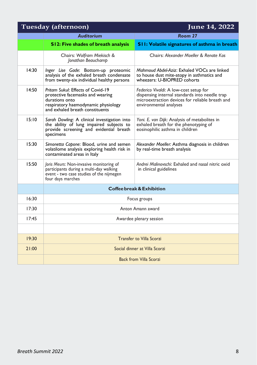| Tuesday (afternoon) |                                                                                                                                                                   | June 14, 2022                                                                                                                                                         |
|---------------------|-------------------------------------------------------------------------------------------------------------------------------------------------------------------|-----------------------------------------------------------------------------------------------------------------------------------------------------------------------|
|                     | <b>Auditorium</b>                                                                                                                                                 | Room 27                                                                                                                                                               |
|                     | S12: Five shades of breath analysis                                                                                                                               | S11: Volatile signatures of asthma in breath                                                                                                                          |
|                     | Chairs: Wolfram Miekisch &<br>Jonathan Beauchamp                                                                                                                  | Chairs: Alexander Moeller & Renate Kos                                                                                                                                |
| 14:30               | Inger Lise Gade: Bottom-up proteomic<br>analysis of the exhaled breath condensate<br>from twenty-six individual healthy persons                                   | Mahmoud Abdel-Aziz: Exhaled VOCs are linked<br>to house dust mite-atopy in asthmatics and<br>wheezers: U-BIOPRED cohorts                                              |
| 14:50               | Pritam Sukul: Effects of Covid-19<br>protective facemasks and wearing<br>durations onto<br>respiratory haemodynamic physiology<br>and exhaled breath constituents | Federico Vivaldi: A low-cost setup for<br>dispensing internal standards into needle trap<br>microextraction devices for reliable breath and<br>environmental analyses |
| 15:10               | Sarah Dowling: A clinical investigation into<br>the ability of lung impaired subjects to<br>provide screening and evidential breath<br>specimens                  | Yoni. E. van Dijk: Analysis of metabolites in<br>exhaled breath for the phenotyping of<br>eosinophilic asthma in children                                             |
| 15:30               | Simonetta Capone: Blood, urine and semen<br>volatilome analysis exploring health risk in<br>contaminated areas in Italy                                           | Alexander Moeller: Asthma diagnosis in children<br>by real-time breath analysis                                                                                       |
| 15:50               | Joris Meurs: Non-invasive monitoring of<br>participants during a multi-day walking<br>event - two case studies of the nijmegen<br>four days marches               | Andrei Malinovschi: Exhaled and nasal nitric oxid<br>in clinical guidelines                                                                                           |
|                     | <b>Coffee break &amp; Exhibition</b>                                                                                                                              |                                                                                                                                                                       |
| 16:30               | Focus groups                                                                                                                                                      |                                                                                                                                                                       |
| 17:30               | Anton Amann award                                                                                                                                                 |                                                                                                                                                                       |
| 17:45               | Awardee plenary session                                                                                                                                           |                                                                                                                                                                       |
|                     |                                                                                                                                                                   |                                                                                                                                                                       |
| 19:30               |                                                                                                                                                                   | <b>Transfer to Villa Scorzi</b>                                                                                                                                       |
| 21:00               | Social dinner at Villa Scorzi                                                                                                                                     |                                                                                                                                                                       |
|                     | <b>Back from Villa Scorzi</b>                                                                                                                                     |                                                                                                                                                                       |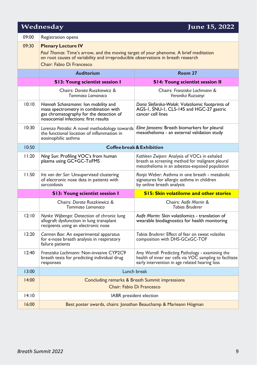| Wednesday<br>June 15, 2022 |                                                                                                                                                                                                                                    |                                                                                                                                                                 |  |
|----------------------------|------------------------------------------------------------------------------------------------------------------------------------------------------------------------------------------------------------------------------------|-----------------------------------------------------------------------------------------------------------------------------------------------------------------|--|
| 09:00                      | Registration opens                                                                                                                                                                                                                 |                                                                                                                                                                 |  |
| 09:30                      | <b>Plenary Lecture IV</b><br>Paul Thomas: Time's arrow, and the moving target of your phenome. A brief meditation<br>on root causes of variability and irreproducible observations in breath research<br>Chair: Fabio Di Francesco |                                                                                                                                                                 |  |
|                            | <b>Auditorium</b>                                                                                                                                                                                                                  | Room 27                                                                                                                                                         |  |
|                            | <b>S13: Young scientist session I</b>                                                                                                                                                                                              | <b>S14: Young scientist session II</b>                                                                                                                          |  |
|                            | Chairs: Dorota Ruszkiewicz &<br>Tommaso Lomonaco                                                                                                                                                                                   | Chairs: Franziska Lochmann &<br>Veronika Ruzsanyi                                                                                                               |  |
| 10:10                      | Hannah Schanzmann: Ion mobility and<br>mass spectrometry in combination with<br>gas chromatography for the detection of<br>nosocomial infections: first results                                                                    | Daria Slefarska-Wolak: Volatilomic footprints of<br>AGS-1, SNU-1, CLS-145 and HGC-27 gastric<br>cancer cell lines                                               |  |
| 10:30                      | Lorenzo Petralia: A novel methodology towards<br>the functional location of inflammation in<br>eosinophilic asthma                                                                                                                 | Eline Janssens: Breath biomarkers for pleural<br>mesothelioma - an external validation study                                                                    |  |
| 10:50                      |                                                                                                                                                                                                                                    | <b>Coffee break &amp; Exhibition</b>                                                                                                                            |  |
| 11:20                      | Ning Sun: Profiling VOC's from human<br>plasma using GC×GC-ToFMS                                                                                                                                                                   | Kathleen Zwijsen: Analysis of VOCs in exhaled<br>breath as screening method for malignant pleural<br>mesothelioma in an asbestos-exposed population             |  |
| 11:50                      | Iris van der Sar: Unsupervised clustering<br>of electronic nose data in patients with<br>sarcoidosis                                                                                                                               | Ronja Weber: Asthma in one breath - metabolic<br>signatures for allergic asthma in children<br>by online breath analysis                                        |  |
|                            | <b>S13: Young scientist session I</b>                                                                                                                                                                                              | <b>S15: Skin volatilome and other stories</b>                                                                                                                   |  |
|                            | Chairs: Dorota Ruszkiewicz &<br>Tommaso Lomonaco                                                                                                                                                                                   | Chairs: Aoife Morrin &<br><b>Tobias Bruderer</b>                                                                                                                |  |
| 12:10                      | Nynke Wijbenga: Detection of chronic lung<br>allograft dysfunction in lung transplant<br>recipients using an electronic nose                                                                                                       | Aoife Morrin: Skin volatilomics - translation of<br>wearable biodiagnostics for health monitoring                                                               |  |
| 12:20                      | Carmen Bax: An experimental apparatus<br>for e-nose breath analysis in respiratory<br>failure patients                                                                                                                             | Tobias Bruderer: Effect of fear on sweat volatiles<br>composition with DHS-GCxGC-TOF                                                                            |  |
| 12:40                      | Franziska Lochmann: Non-invasive CYP2C9<br>breath tests for predicting individual drug<br>responses                                                                                                                                | Amy Worrall: Predicting Pathology - examining the<br>health of inner ear cells via VOC sampling to facilitate<br>early intervention in age related hearing loss |  |
| 13:00                      | Lunch break                                                                                                                                                                                                                        |                                                                                                                                                                 |  |
| 14:00                      | Concluding remarks & Breath Summit impressions<br>Chair: Fabio Di Francesco                                                                                                                                                        |                                                                                                                                                                 |  |
| 14:10                      |                                                                                                                                                                                                                                    | IABR president election                                                                                                                                         |  |
| 16:00                      | Best poster awards, chairs: Jonathan Beauchamp & Marieann Högman                                                                                                                                                                   |                                                                                                                                                                 |  |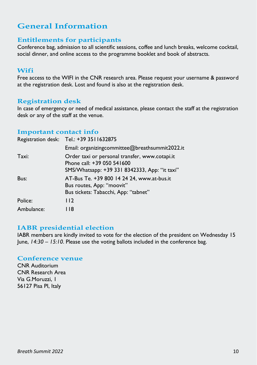### **General Information**

#### **Entitlements for participants**

Conference bag, admission to all scientific sessions, coffee and lunch breaks, welcome cocktail, social dinner, and online access to the programme booklet and book of abstracts.

#### **Wifi**

Free access to the WIFI in the CNR research area. Please request your username & password at the registration desk. Lost and found is also at the registration desk.

#### **Registration desk**

In case of emergency or need of medical assistance, please contact the staff at the registration desk or any of the staff at the venue.

#### **Important contact info**

|            | Registration desk: Tel.: +39 3511632875                                                                                       |
|------------|-------------------------------------------------------------------------------------------------------------------------------|
|            | Email: organizingcommittee@breathsummit2022.it                                                                                |
| Taxi:      | Order taxi or personal transfer, www.cotapi.it<br>Phone call: +39 050 541600<br>SMS/Whatsapp: +39 331 8342333, App: "it taxi" |
| Bus:       | AT-Bus Te. +39 800 14 24 24, www.at-bus.it<br>Bus routes, App: "moovit"<br>Bus tickets: Tabacchi, App: "tabnet"               |
| Police:    | 112                                                                                                                           |
| Ambulance: | I 18                                                                                                                          |

#### **IABR presidential election**

IABR members are kindly invited to vote for the election of the president on Wednesday 15 June, *14:30 – 15:10*. Please use the voting ballots included in the conference bag.

#### **Conference venue**

CNR Auditorium CNR Research Area Via G.Moruzzi, 1 56127 Pisa PI, Italy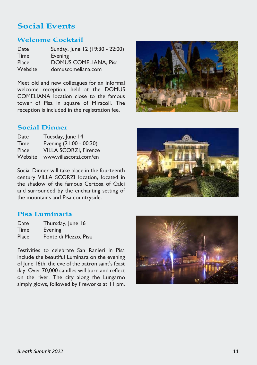### **Social Events**

#### **Welcome Cocktail**

| Date    | Sunday, June 12 (19:30 - 22:00) |
|---------|---------------------------------|
| Time    | Evening                         |
| Place   | <b>DOMUS COMELIANA, Pisa</b>    |
| Website | domuscomeliana.com              |

Meet old and new colleagues for an informal welcome reception, held at the DOMUS COMELIANA location close to the famous tower of Pisa in square of Miracoli. The reception is included in the registration fee.



#### **Social Dinner**

| Date    | Tuesday, June 14             |
|---------|------------------------------|
| Time    | Evening (21:00 - 00:30)      |
| Place   | <b>VILLA SCORZI, Firenze</b> |
| Website | www.villascorzi.com/en       |

Social Dinner will take place in the fourteenth century VILLA SCORZI location, located in the shadow of the famous Certosa of Calci and surrounded by the enchanting setting of the mountains and Pisa countryside.



### **Pisa Luminaria**

| Date  | Thursday, June 16    |
|-------|----------------------|
| Time  | Evening              |
| Place | Ponte di Mezzo, Pisa |

Festivities to celebrate San Ranieri in Pisa include the beautiful Luminara on the evening of June 16th, the eve of the patron saint's feast day. Over 70,000 candles will burn and reflect on the river. The city along the Lungarno simply glows, followed by fireworks at 11 pm.

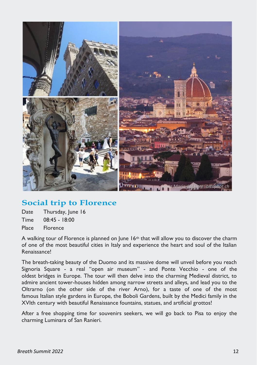

### **Social trip to Florence**

| Date | Thursday, June 16 |
|------|-------------------|
| Time | $08:45 - 18:00$   |

Place Florence

A walking tour of Florence is planned on June 16th that will allow you to discover the charm of one of the most beautiful cities in Italy and experience the heart and soul of the Italian Renaissance!

The breath-taking beauty of the Duomo and its massive dome will unveil before you reach Signoria Square - a real "open air museum" - and Ponte Vecchio - one of the oldest bridges in Europe. The tour will then delve into the charming Medieval district, to admire ancient tower-houses hidden among narrow streets and alleys, and lead you to the Oltrarno (on the other side of the river Arno), for a taste of one of the most famous Italian style gardens in Europe, the Boboli Gardens, built by the Medici family in the XVIth century with beautiful Renaissance fountains, statues, and artificial grottos!

After a free shopping time for souvenirs seekers, we will go back to Pisa to enjoy the charming Luminara of San Ranieri.